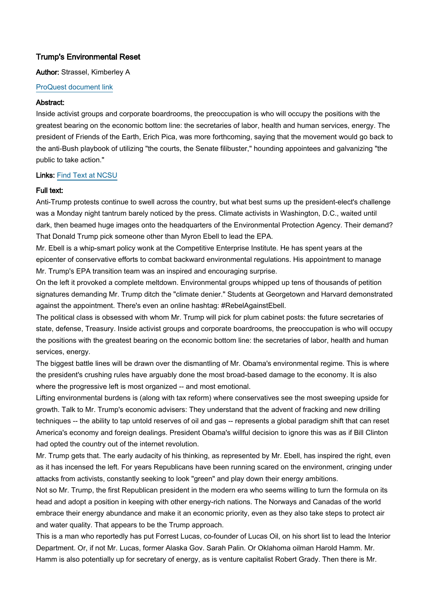# Trump's Environmental Reset

### Author: Strassel, Kimberley A

#### [ProQuest document link](http://proxying.lib.ncsu.edu/index.php?url=http://search.proquest.com/docview/1843015022?accountid=12725)

#### Abstract:

Inside activist groups and corporate boardrooms, the preoccupation is who will occupy the positions with the greatest bearing on the economic bottom line: the secretaries of labor, health and human services, energy. The president of Friends of the Earth, Erich Pica, was more forthcoming, saying that the movement would go back to the anti-Bush playbook of utilizing "the courts, the Senate filibuster," hounding appointees and galvanizing "the public to take action."

## Links: [Find Text at NCSU](http://findtext.lib.ncsu.edu/?ctx_ver=Z39.88-2004&ctx_enc=info:ofi/enc:UTF-8&rfr_id=info:sid/ProQ:abiglobal&rft_val_fmt=info:ofi/fmt:kev:mtx:journal&rft.genre=unknown&rft.jtitle=Wall%20Street%20Journal&rft.atitle=Trump)

#### Full text:

Anti-Trump protests continue to swell across the country, but what best sums up the president-elect's challenge was a Monday night tantrum barely noticed by the press. Climate activists in Washington, D.C., waited until dark, then beamed huge images onto the headquarters of the Environmental Protection Agency. Their demand? That Donald Trump pick someone other than Myron Ebell to lead the EPA.

Mr. Ebell is a whip-smart policy wonk at the Competitive Enterprise Institute. He has spent years at the epicenter of conservative efforts to combat backward environmental regulations. His appointment to manage Mr. Trump's EPA transition team was an inspired and encouraging surprise.

On the left it provoked a complete meltdown. Environmental groups whipped up tens of thousands of petition signatures demanding Mr. Trump ditch the "climate denier." Students at Georgetown and Harvard demonstrated against the appointment. There's even an online hashtag: #RebelAgainstEbell.

The political class is obsessed with whom Mr. Trump will pick for plum cabinet posts: the future secretaries of state, defense, Treasury. Inside activist groups and corporate boardrooms, the preoccupation is who will occupy the positions with the greatest bearing on the economic bottom line: the secretaries of labor, health and human services, energy.

The biggest battle lines will be drawn over the dismantling of Mr. Obama's environmental regime. This is where the president's crushing rules have arguably done the most broad-based damage to the economy. It is also where the progressive left is most organized -- and most emotional.

Lifting environmental burdens is (along with tax reform) where conservatives see the most sweeping upside for growth. Talk to Mr. Trump's economic advisers: They understand that the advent of fracking and new drilling techniques -- the ability to tap untold reserves of oil and gas -- represents a global paradigm shift that can reset America's economy and foreign dealings. President Obama's willful decision to ignore this was as if Bill Clinton had opted the country out of the internet revolution.

Mr. Trump gets that. The early audacity of his thinking, as represented by Mr. Ebell, has inspired the right, even as it has incensed the left. For years Republicans have been running scared on the environment, cringing under attacks from activists, constantly seeking to look "green" and play down their energy ambitions.

Not so Mr. Trump, the first Republican president in the modern era who seems willing to turn the formula on its head and adopt a position in keeping with other energy-rich nations. The Norways and Canadas of the world embrace their energy abundance and make it an economic priority, even as they also take steps to protect air and water quality. That appears to be the Trump approach.

This is a man who reportedly has put Forrest Lucas, co-founder of Lucas Oil, on his short list to lead the Interior Department. Or, if not Mr. Lucas, former Alaska Gov. Sarah Palin. Or Oklahoma oilman Harold Hamm. Mr. Hamm is also potentially up for secretary of energy, as is venture capitalist Robert Grady. Then there is Mr.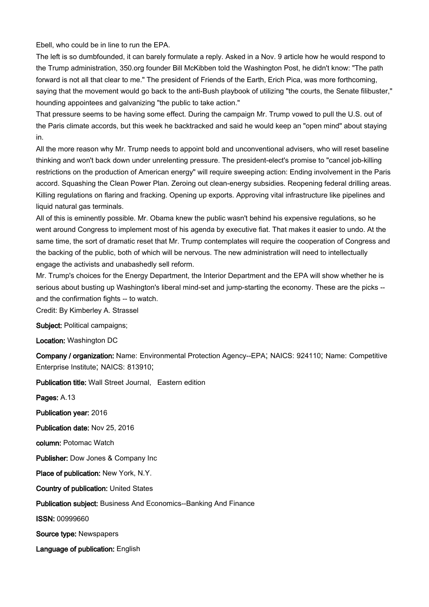Ebell, who could be in line to run the EPA.

The left is so dumbfounded, it can barely formulate a reply. Asked in a Nov. 9 article how he would respond to the Trump administration, 350.org founder Bill McKibben told the Washington Post, he didn't know: "The path forward is not all that clear to me." The president of Friends of the Earth, Erich Pica, was more forthcoming, saying that the movement would go back to the anti-Bush playbook of utilizing "the courts, the Senate filibuster," hounding appointees and galvanizing "the public to take action."

That pressure seems to be having some effect. During the campaign Mr. Trump vowed to pull the U.S. out of the Paris climate accords, but this week he backtracked and said he would keep an "open mind" about staying in.

All the more reason why Mr. Trump needs to appoint bold and unconventional advisers, who will reset baseline thinking and won't back down under unrelenting pressure. The president-elect's promise to "cancel job-killing restrictions on the production of American energy" will require sweeping action: Ending involvement in the Paris accord. Squashing the Clean Power Plan. Zeroing out clean-energy subsidies. Reopening federal drilling areas. Killing regulations on flaring and fracking. Opening up exports. Approving vital infrastructure like pipelines and liquid natural gas terminals.

All of this is eminently possible. Mr. Obama knew the public wasn't behind his expensive regulations, so he went around Congress to implement most of his agenda by executive fiat. That makes it easier to undo. At the same time, the sort of dramatic reset that Mr. Trump contemplates will require the cooperation of Congress and the backing of the public, both of which will be nervous. The new administration will need to intellectually engage the activists and unabashedly sell reform.

Mr. Trump's choices for the Energy Department, the Interior Department and the EPA will show whether he is serious about busting up Washington's liberal mind-set and jump-starting the economy. These are the picks - and the confirmation fights -- to watch.

Credit: By Kimberley A. Strassel

Subject: Political campaigns;

Location: Washington DC

Company / organization: Name: Environmental Protection Agency--EPA; NAICS: 924110; Name: Competitive Enterprise Institute; NAICS: 813910;

Publication title: Wall Street Journal, Eastern edition

Pages: A.13

Publication year: 2016

Publication date: Nov 25, 2016

column: Potomac Watch

Publisher: Dow Jones & Company Inc

Place of publication: New York, N.Y.

Country of publication: United States

Publication subject: Business And Economics--Banking And Finance

ISSN: 00999660

Source type: Newspapers

Language of publication: English